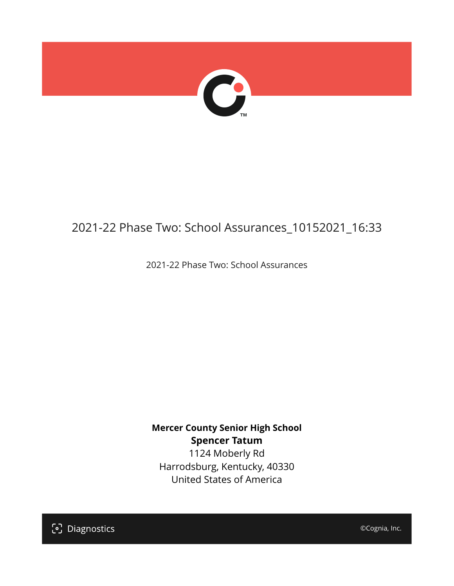

# 2021-22 Phase Two: School Assurances\_10152021\_16:33

2021-22 Phase Two: School Assurances

**Mercer County Senior High School Spencer Tatum** 1124 Moberly Rd Harrodsburg, Kentucky, 40330 United States of America

[၁] Diagnostics

©Cognia, Inc.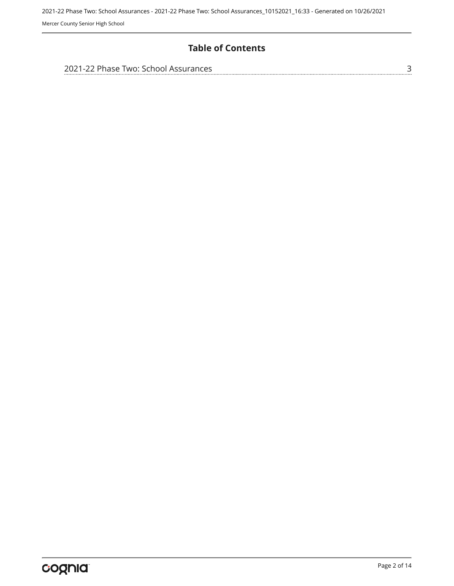### **Table of Contents**

| 2021-22 Phase Two: School Assurances |  |
|--------------------------------------|--|
|                                      |  |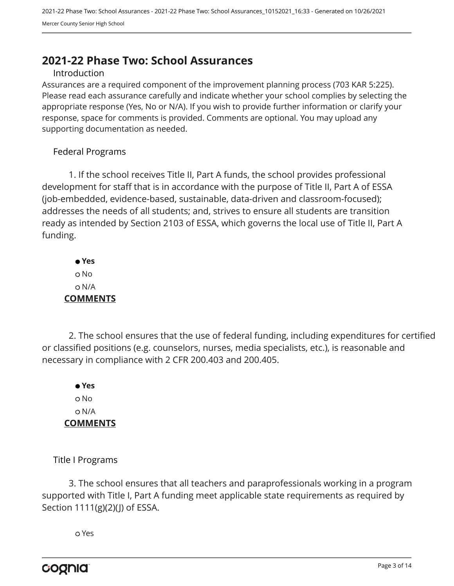# <span id="page-2-0"></span>**2021-22 Phase Two: School Assurances**

#### Introduction

Assurances are a required component of the improvement planning process (703 KAR 5:225). Please read each assurance carefully and indicate whether your school complies by selecting the appropriate response (Yes, No or N/A). If you wish to provide further information or clarify your response, space for comments is provided. Comments are optional. You may upload any supporting documentation as needed.

#### Federal Programs

1. If the school receives Title II, Part A funds, the school provides professional development for staff that is in accordance with the purpose of Title II, Part A of ESSA (job-embedded, evidence-based, sustainable, data-driven and classroom-focused); addresses the needs of all students; and, strives to ensure all students are transition ready as intended by Section 2103 of ESSA, which governs the local use of Title II, Part A funding.

 **Yes** o No N/A **COMMENTS**

2. The school ensures that the use of federal funding, including expenditures for certified or classified positions (e.g. counselors, nurses, media specialists, etc.), is reasonable and necessary in compliance with 2 CFR 200.403 and 200.405.

 **Yes** o No N/A **COMMENTS**

Title I Programs

3. The school ensures that all teachers and paraprofessionals working in a program supported with Title I, Part A funding meet applicable state requirements as required by Section 1111(g)(2)(J) of ESSA.

Yes

cognia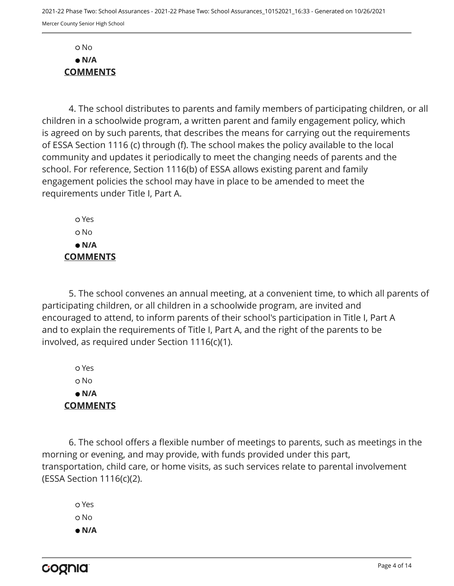No  **N/A COMMENTS**

4. The school distributes to parents and family members of participating children, or all children in a schoolwide program, a written parent and family engagement policy, which is agreed on by such parents, that describes the means for carrying out the requirements of ESSA Section 1116 (c) through (f). The school makes the policy available to the local community and updates it periodically to meet the changing needs of parents and the school. For reference, Section 1116(b) of ESSA allows existing parent and family engagement policies the school may have in place to be amended to meet the requirements under Title I, Part A.

 Yes No  **N/A COMMENTS**

5. The school convenes an annual meeting, at a convenient time, to which all parents of participating children, or all children in a schoolwide program, are invited and encouraged to attend, to inform parents of their school's participation in Title I, Part A and to explain the requirements of Title I, Part A, and the right of the parents to be involved, as required under Section 1116(c)(1).

 Yes o No  **N/A COMMENTS**

6. The school offers a flexible number of meetings to parents, such as meetings in the morning or evening, and may provide, with funds provided under this part, transportation, child care, or home visits, as such services relate to parental involvement (ESSA Section 1116(c)(2).

 Yes o No  **N/A**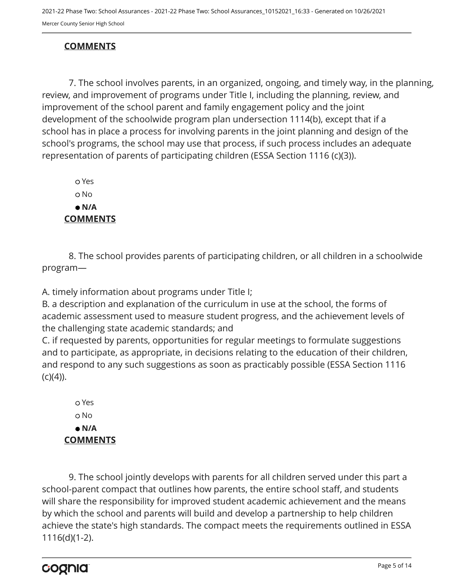## **COMMENTS**

7. The school involves parents, in an organized, ongoing, and timely way, in the planning, review, and improvement of programs under Title I, including the planning, review, and improvement of the school parent and family engagement policy and the joint development of the schoolwide program plan undersection 1114(b), except that if a school has in place a process for involving parents in the joint planning and design of the school's programs, the school may use that process, if such process includes an adequate representation of parents of participating children (ESSA Section 1116 (c)(3)).

 Yes o No  **N/A COMMENTS**

8. The school provides parents of participating children, or all children in a schoolwide program—

A. timely information about programs under Title I;

B. a description and explanation of the curriculum in use at the school, the forms of academic assessment used to measure student progress, and the achievement levels of the challenging state academic standards; and

C. if requested by parents, opportunities for regular meetings to formulate suggestions and to participate, as appropriate, in decisions relating to the education of their children, and respond to any such suggestions as soon as practicably possible (ESSA Section 1116  $(c)(4)$ ).

 Yes o No  **N/A COMMENTS**

9. The school jointly develops with parents for all children served under this part a school-parent compact that outlines how parents, the entire school staff, and students will share the responsibility for improved student academic achievement and the means by which the school and parents will build and develop a partnership to help children achieve the state's high standards. The compact meets the requirements outlined in ESSA 1116(d)(1-2).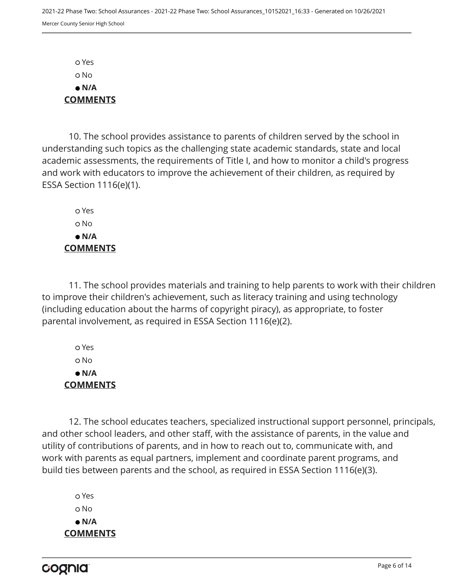Yes No  **N/A COMMENTS**

10. The school provides assistance to parents of children served by the school in understanding such topics as the challenging state academic standards, state and local academic assessments, the requirements of Title I, and how to monitor a child's progress and work with educators to improve the achievement of their children, as required by ESSA Section 1116(e)(1).

 Yes o No  **N/A COMMENTS**

11. The school provides materials and training to help parents to work with their children to improve their children's achievement, such as literacy training and using technology (including education about the harms of copyright piracy), as appropriate, to foster parental involvement, as required in ESSA Section 1116(e)(2).

 Yes No  **N/A COMMENTS**

12. The school educates teachers, specialized instructional support personnel, principals, and other school leaders, and other staff, with the assistance of parents, in the value and utility of contributions of parents, and in how to reach out to, communicate with, and work with parents as equal partners, implement and coordinate parent programs, and build ties between parents and the school, as required in ESSA Section 1116(e)(3).

 Yes o No  **N/A COMMENTS**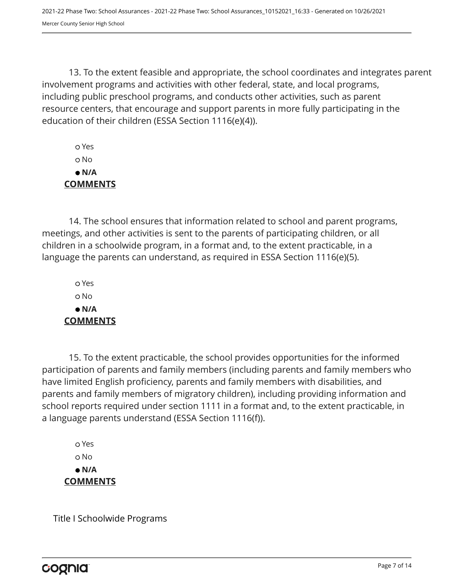13. To the extent feasible and appropriate, the school coordinates and integrates parent involvement programs and activities with other federal, state, and local programs, including public preschool programs, and conducts other activities, such as parent resource centers, that encourage and support parents in more fully participating in the education of their children (ESSA Section 1116(e)(4)).

 Yes No  **N/A COMMENTS**

14. The school ensures that information related to school and parent programs, meetings, and other activities is sent to the parents of participating children, or all children in a schoolwide program, in a format and, to the extent practicable, in a language the parents can understand, as required in ESSA Section 1116(e)(5).

 Yes o No  **N/A COMMENTS**

15. To the extent practicable, the school provides opportunities for the informed participation of parents and family members (including parents and family members who have limited English proficiency, parents and family members with disabilities, and parents and family members of migratory children), including providing information and school reports required under section 1111 in a format and, to the extent practicable, in a language parents understand (ESSA Section 1116(f)).

 Yes o No  **N/A COMMENTS**

Title I Schoolwide Programs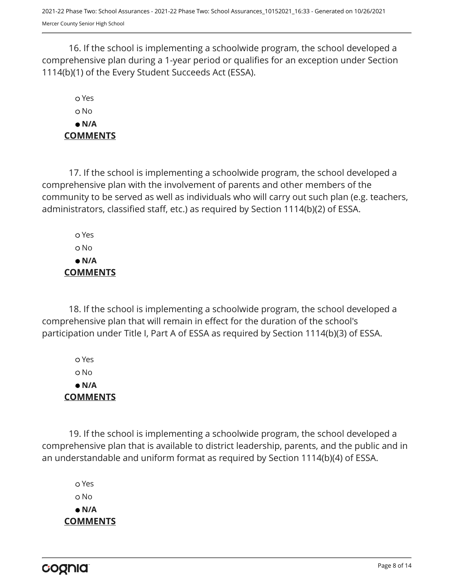16. If the school is implementing a schoolwide program, the school developed a comprehensive plan during a 1-year period or qualifies for an exception under Section 1114(b)(1) of the Every Student Succeeds Act (ESSA).

## Yes No  **N/A COMMENTS**

17. If the school is implementing a schoolwide program, the school developed a comprehensive plan with the involvement of parents and other members of the community to be served as well as individuals who will carry out such plan (e.g. teachers, administrators, classified staff, etc.) as required by Section 1114(b)(2) of ESSA.

 Yes No  **N/A COMMENTS**

18. If the school is implementing a schoolwide program, the school developed a comprehensive plan that will remain in effect for the duration of the school's participation under Title I, Part A of ESSA as required by Section 1114(b)(3) of ESSA.

 Yes No  **N/A COMMENTS**

19. If the school is implementing a schoolwide program, the school developed a comprehensive plan that is available to district leadership, parents, and the public and in an understandable and uniform format as required by Section 1114(b)(4) of ESSA.

 Yes o No  **N/A COMMENTS**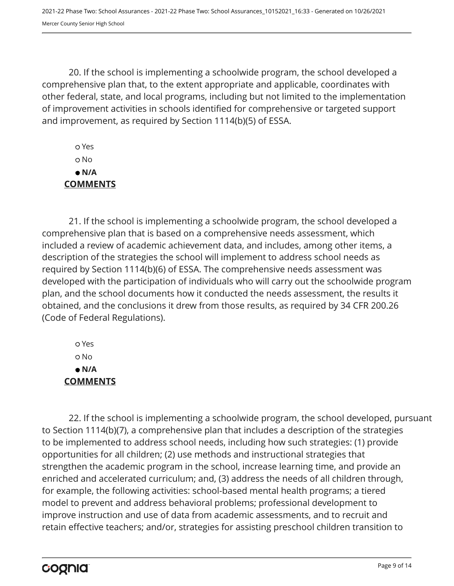20. If the school is implementing a schoolwide program, the school developed a comprehensive plan that, to the extent appropriate and applicable, coordinates with other federal, state, and local programs, including but not limited to the implementation of improvement activities in schools identified for comprehensive or targeted support and improvement, as required by Section 1114(b)(5) of ESSA.

 Yes No  **N/A COMMENTS**

21. If the school is implementing a schoolwide program, the school developed a comprehensive plan that is based on a comprehensive needs assessment, which included a review of academic achievement data, and includes, among other items, a description of the strategies the school will implement to address school needs as required by Section 1114(b)(6) of ESSA. The comprehensive needs assessment was developed with the participation of individuals who will carry out the schoolwide program plan, and the school documents how it conducted the needs assessment, the results it obtained, and the conclusions it drew from those results, as required by 34 CFR 200.26 (Code of Federal Regulations).

 Yes No  **N/A COMMENTS**

22. If the school is implementing a schoolwide program, the school developed, pursuant to Section 1114(b)(7), a comprehensive plan that includes a description of the strategies to be implemented to address school needs, including how such strategies: (1) provide opportunities for all children; (2) use methods and instructional strategies that strengthen the academic program in the school, increase learning time, and provide an enriched and accelerated curriculum; and, (3) address the needs of all children through, for example, the following activities: school-based mental health programs; a tiered model to prevent and address behavioral problems; professional development to improve instruction and use of data from academic assessments, and to recruit and retain effective teachers; and/or, strategies for assisting preschool children transition to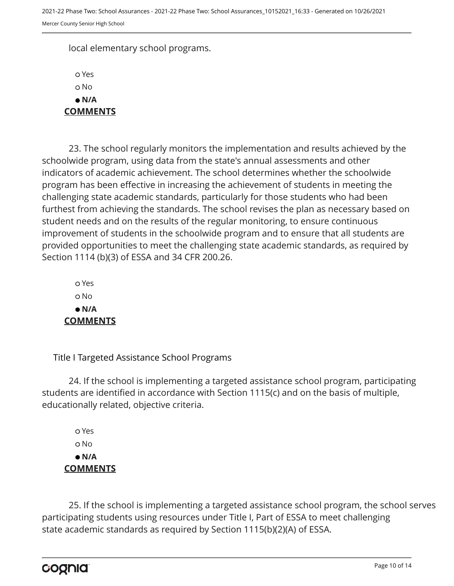local elementary school programs.

 Yes o No  **N/A COMMENTS**

23. The school regularly monitors the implementation and results achieved by the schoolwide program, using data from the state's annual assessments and other indicators of academic achievement. The school determines whether the schoolwide program has been effective in increasing the achievement of students in meeting the challenging state academic standards, particularly for those students who had been furthest from achieving the standards. The school revises the plan as necessary based on student needs and on the results of the regular monitoring, to ensure continuous improvement of students in the schoolwide program and to ensure that all students are provided opportunities to meet the challenging state academic standards, as required by Section 1114 (b)(3) of ESSA and 34 CFR 200.26.

 Yes o No  **N/A COMMENTS**

Title I Targeted Assistance School Programs

24. If the school is implementing a targeted assistance school program, participating students are identified in accordance with Section 1115(c) and on the basis of multiple, educationally related, objective criteria.

 Yes o No  **N/A COMMENTS**

25. If the school is implementing a targeted assistance school program, the school serves participating students using resources under Title I, Part of ESSA to meet challenging state academic standards as required by Section 1115(b)(2)(A) of ESSA.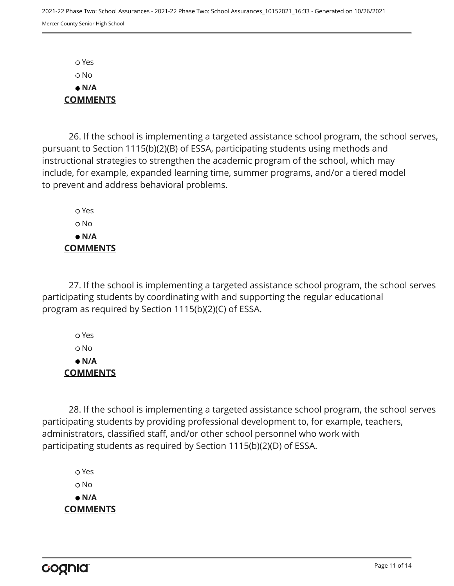Yes No  **N/A COMMENTS**

26. If the school is implementing a targeted assistance school program, the school serves, pursuant to Section 1115(b)(2)(B) of ESSA, participating students using methods and instructional strategies to strengthen the academic program of the school, which may include, for example, expanded learning time, summer programs, and/or a tiered model to prevent and address behavioral problems.

 Yes o No  **N/A COMMENTS**

27. If the school is implementing a targeted assistance school program, the school serves participating students by coordinating with and supporting the regular educational program as required by Section 1115(b)(2)(C) of ESSA.

 Yes No  **N/A COMMENTS**

28. If the school is implementing a targeted assistance school program, the school serves participating students by providing professional development to, for example, teachers, administrators, classified staff, and/or other school personnel who work with participating students as required by Section 1115(b)(2)(D) of ESSA.

 Yes o No  **N/A COMMENTS**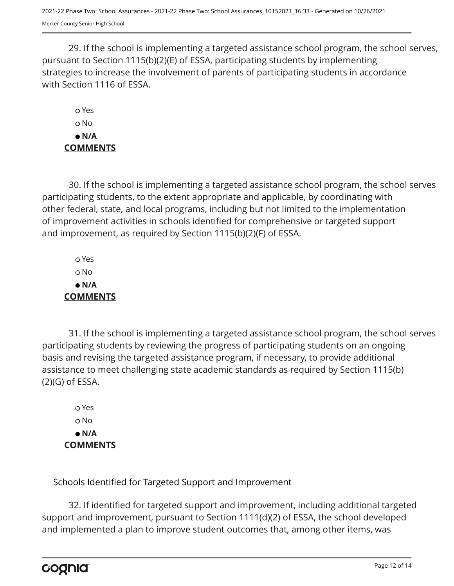29. If the school is implementing a targeted assistance school program, the school serves, pursuant to Section 1115(b)(2)(E) of ESSA, participating students by implementing strategies to increase the involvement of parents of participating students in accordance with Section 1116 of ESSA.

 Yes o No  **N/A COMMENTS**

30. If the school is implementing a targeted assistance school program, the school serves participating students, to the extent appropriate and applicable, by coordinating with other federal, state, and local programs, including but not limited to the implementation of improvement activities in schools identified for comprehensive or targeted support and improvement, as required by Section 1115(b)(2)(F) of ESSA.

 Yes No  **N/A COMMENTS**

31. If the school is implementing a targeted assistance school program, the school serves participating students by reviewing the progress of participating students on an ongoing basis and revising the targeted assistance program, if necessary, to provide additional assistance to meet challenging state academic standards as required by Section 1115(b) (2)(G) of ESSA.

 Yes o No  **N/A COMMENTS**

Schools Identified for Targeted Support and Improvement

32. If identified for targeted support and improvement, including additional targeted support and improvement, pursuant to Section 1111(d)(2) of ESSA, the school developed and implemented a plan to improve student outcomes that, among other items, was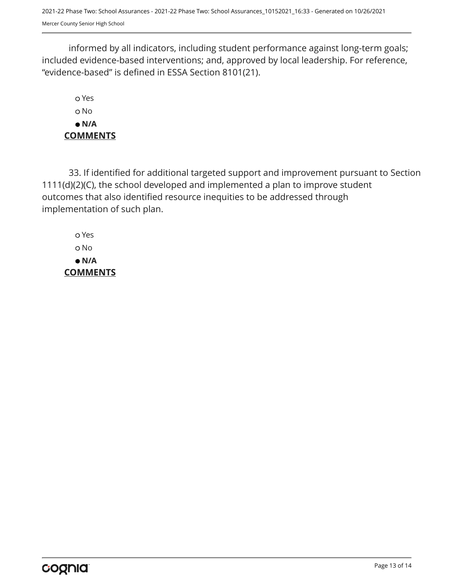2021-22 Phase Two: School Assurances - 2021-22 Phase Two: School Assurances\_10152021\_16:33 - Generated on 10/26/2021 Mercer County Senior High School

informed by all indicators, including student performance against long-term goals; included evidence-based interventions; and, approved by local leadership. For reference, "evidence-based" is defined in ESSA Section 8101(21).

 Yes o No  **N/A COMMENTS**

33. If identified for additional targeted support and improvement pursuant to Section 1111(d)(2)(C), the school developed and implemented a plan to improve student outcomes that also identified resource inequities to be addressed through implementation of such plan.

 Yes No  **N/A COMMENTS**